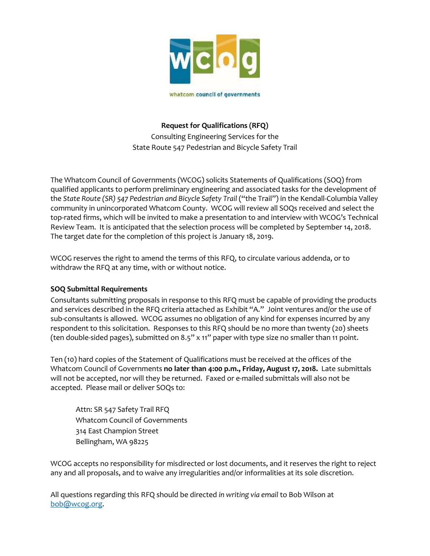

whatcom council of governments

**Request for Qualifications (RFQ)** Consulting Engineering Services for the State Route 547 Pedestrian and Bicycle Safety Trail

The Whatcom Council of Governments (WCOG) solicits Statements of Qualifications (SOQ) from qualified applicants to perform preliminary engineering and associated tasks for the development of the *State Route (SR) 547 Pedestrian and Bicycle Safety Trail* ("the Trail") in the Kendall-Columbia Valley community in unincorporated Whatcom County. WCOG will review all SOQs received and select the top-rated firms, which will be invited to make a presentation to and interview with WCOG's Technical Review Team. It is anticipated that the selection process will be completed by September 14, 2018. The target date for the completion of this project is January 18, 2019.

WCOG reserves the right to amend the terms of this RFQ, to circulate various addenda, or to withdraw the RFQ at any time, with or without notice.

## **SOQ Submittal Requirements**

Consultants submitting proposals in response to this RFQ must be capable of providing the products and services described in the RFQ criteria attached as Exhibit "A." Joint ventures and/or the use of sub-consultants is allowed. WCOG assumes no obligation of any kind for expenses incurred by any respondent to this solicitation. Responses to this RFQ should be no more than twenty (20) sheets (ten double-sided pages), submitted on 8.5" x 11" paper with type size no smaller than 11 point.

Ten (10) hard copies of the Statement of Qualifications must be received at the offices of the Whatcom Council of Governments **no later than 4:00 p.m., Friday, August 17, 2018.** Late submittals will not be accepted, nor will they be returned. Faxed or e-mailed submittals will also not be accepted. Please mail or deliver SOQs to:

Attn: SR 547 Safety Trail RFQ Whatcom Council of Governments 314 East Champion Street Bellingham, WA 98225

WCOG accepts no responsibility for misdirected or lost documents, and it reserves the right to reject any and all proposals, and to waive any irregularities and/or informalities at its sole discretion.

All questions regarding this RFQ should be directed *in writing via email* to Bob Wilson at [bob@wcog.org.](mailto:bob@wcog.org)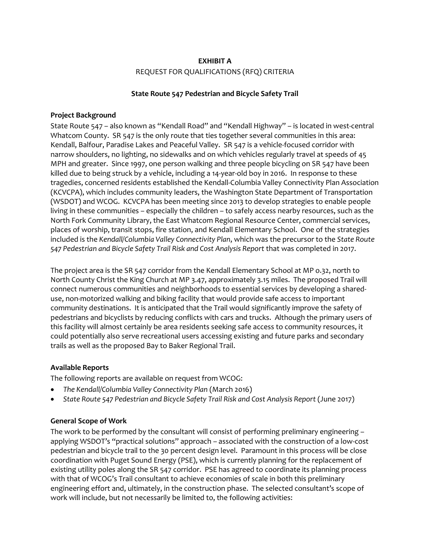# **EXHIBIT A** REQUEST FOR QUALIFICATIONS (RFQ) CRITERIA

#### **State Route 547 Pedestrian and Bicycle Safety Trail**

#### **Project Background**

State Route 547 – also known as "Kendall Road" and "Kendall Highway" – is located in west-central Whatcom County. SR 547 is the only route that ties together several communities in this area: Kendall, Balfour, Paradise Lakes and Peaceful Valley. SR 547 is a vehicle-focused corridor with narrow shoulders, no lighting, no sidewalks and on which vehicles regularly travel at speeds of 45 MPH and greater. Since 1997, one person walking and three people bicycling on SR 547 have been killed due to being struck by a vehicle, including a 14-year-old boy in 2016. In response to these tragedies, concerned residents established the Kendall-Columbia Valley Connectivity Plan Association (KCVCPA), which includes community leaders, the Washington State Department of Transportation (WSDOT) and WCOG. KCVCPA has been meeting since 2013 to develop strategies to enable people living in these communities – especially the children – to safely access nearby resources, such as the North Fork Community Library, the East Whatcom Regional Resource Center, commercial services, places of worship, transit stops, fire station, and Kendall Elementary School. One of the strategies included is the *Kendall/Columbia Valley Connectivity Plan*, which was the precursor to the *State Route 547 Pedestrian and Bicycle Safety Trail Risk and Cost Analysis Report* that was completed in 2017.

The project area is the SR 547 corridor from the Kendall Elementary School at MP o.32, north to North County Christ the King Church at MP 3.47, approximately 3.15 miles. The proposed Trail will connect numerous communities and neighborhoods to essential services by developing a shareduse, non-motorized walking and biking facility that would provide safe access to important community destinations. It is anticipated that the Trail would significantly improve the safety of pedestrians and bicyclists by reducing conflicts with cars and trucks. Although the primary users of this facility will almost certainly be area residents seeking safe access to community resources, it could potentially also serve recreational users accessing existing and future parks and secondary trails as well as the proposed Bay to Baker Regional Trail.

## **Available Reports**

The following reports are available on request from WCOG:

- *The Kendall/Columbia Valley Connectivity Plan* (March 2016)
- *State Route 547 Pedestrian and Bicycle Safety Trail Risk and Cost Analysis Report* (June 2017)

## **General Scope of Work**

The work to be performed by the consultant will consist of performing preliminary engineering – applying WSDOT's "practical solutions" approach – associated with the construction of a low-cost pedestrian and bicycle trail to the 30 percent design level. Paramount in this process will be close coordination with Puget Sound Energy (PSE), which is currently planning for the replacement of existing utility poles along the SR 547 corridor. PSE has agreed to coordinate its planning process with that of WCOG's Trail consultant to achieve economies of scale in both this preliminary engineering effort and, ultimately, in the construction phase. The selected consultant's scope of work will include, but not necessarily be limited to, the following activities: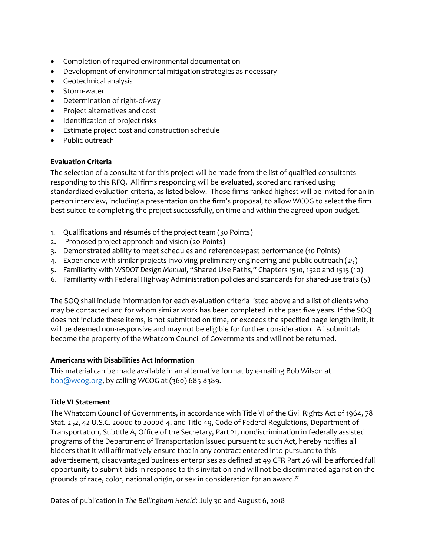- Completion of required environmental documentation
- Development of environmental mitigation strategies as necessary
- Geotechnical analysis
- Storm-water
- Determination of right-of-way
- Project alternatives and cost
- Identification of project risks
- Estimate project cost and construction schedule
- Public outreach

## **Evaluation Criteria**

The selection of a consultant for this project will be made from the list of qualified consultants responding to this RFQ. All firms responding will be evaluated, scored and ranked using standardized evaluation criteria, as listed below. Those firms ranked highest will be invited for an inperson interview, including a presentation on the firm's proposal, to allow WCOG to select the firm best-suited to completing the project successfully, on time and within the agreed-upon budget.

- 1. Qualifications and résumés of the project team (30 Points)
- 2. Proposed project approach and vision (20 Points)
- 3. Demonstrated ability to meet schedules and references/past performance (10 Points)
- 4. Experience with similar projects involving preliminary engineering and public outreach (25)
- 5. Familiarity with *WSDOT Design Manual*, "Shared Use Paths," Chapters 1510, 1520 and 1515 (10)
- 6. Familiarity with Federal Highway Administration policies and standards for shared-use trails (5)

The SOQ shall include information for each evaluation criteria listed above and a list of clients who may be contacted and for whom similar work has been completed in the past five years. If the SOQ does not include these items, is not submitted on time, or exceeds the specified page length limit, it will be deemed non-responsive and may not be eligible for further consideration. All submittals become the property of the Whatcom Council of Governments and will not be returned.

## **Americans with Disabilities Act Information**

This material can be made available in an alternative format by e-mailing Bob Wilson at [bob@wcog.org,](mailto:bob@wcog.org) by calling WCOG at (360) 685-8389.

## **Title VI Statement**

The Whatcom Council of Governments, in accordance with Title VI of the Civil Rights Act of 1964, 78 Stat. 252, 42 U.S.C. 2000d to 2000d-4, and Title 49, Code of Federal Regulations, Department of Transportation, Subtitle A, Office of the Secretary, Part 21, nondiscrimination in federally assisted programs of the Department of Transportation issued pursuant to such Act, hereby notifies all bidders that it will affirmatively ensure that in any contract entered into pursuant to this advertisement, disadvantaged business enterprises as defined at 49 CFR Part 26 will be afforded full opportunity to submit bids in response to this invitation and will not be discriminated against on the grounds of race, color, national origin, or sex in consideration for an award."

Dates of publication in *The Bellingham Herald:* July 30 and August 6, 2018